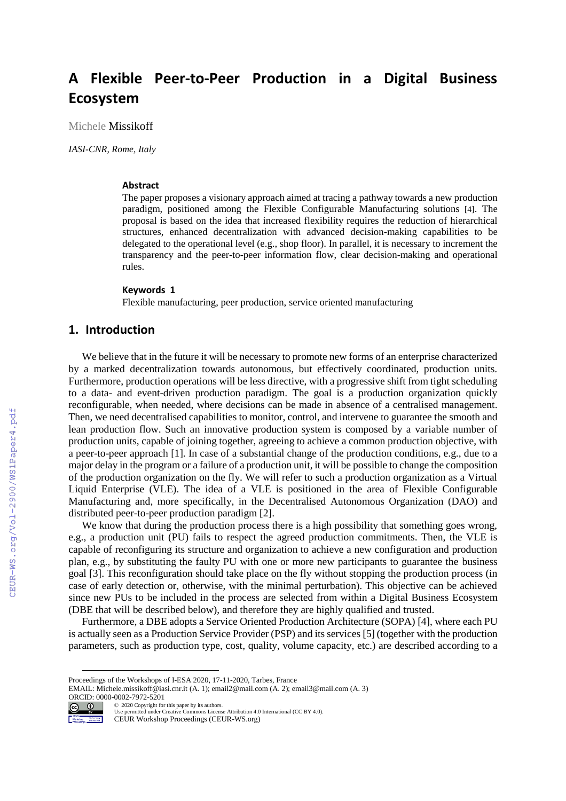# **A Flexible Peer-to-Peer Production in a Digital Business Ecosystem**

Michele Missikoff

*IASI-CNR, Rome, Italy*

#### **Abstract**

The paper proposes a visionary approach aimed at tracing a pathway towards a new production paradigm, positioned among the Flexible Configurable Manufacturing solutions [4]. The proposal is based on the idea that increased flexibility requires the reduction of hierarchical structures, enhanced decentralization with advanced decision-making capabilities to be delegated to the operational level (e.g., shop floor). In parallel, it is necessary to increment the transparency and the peer-to-peer information flow, clear decision-making and operational rules.

#### **Keywords 1**

Flexible manufacturing, peer production, service oriented manufacturing

## **1. Introduction**

We believe that in the future it will be necessary to promote new forms of an enterprise characterized by a marked decentralization towards autonomous, but effectively coordinated, production units. Furthermore, production operations will be less directive, with a progressive shift from tight scheduling to a data- and event-driven production paradigm. The goal is a production organization quickly reconfigurable, when needed, where decisions can be made in absence of a centralised management. Then, we need decentralised capabilities to monitor, control, and intervene to guarantee the smooth and lean production flow. Such an innovative production system is composed by a variable number of production units, capable of joining together, agreeing to achieve a common production objective, with a peer-to-peer approach [1]. In case of a substantial change of the production conditions, e.g., due to a major delay in the program or a failure of a production unit, it will be possible to change the composition of the production organization on the fly. We will refer to such a production organization as a Virtual Liquid Enterprise (VLE). The idea of a VLE is positioned in the area of Flexible Configurable Manufacturing and, more specifically, in the Decentralised Autonomous Organization (DAO) and distributed peer-to-peer production paradigm [2].

We know that during the production process there is a high possibility that something goes wrong, e.g., a production unit (PU) fails to respect the agreed production commitments. Then, the VLE is capable of reconfiguring its structure and organization to achieve a new configuration and production plan, e.g., by substituting the faulty PU with one or more new participants to guarantee the business goal [3]. This reconfiguration should take place on the fly without stopping the production process (in case of early detection or, otherwise, with the minimal perturbation). This objective can be achieved since new PUs to be included in the process are selected from within a Digital Business Ecosystem (DBE that will be described below), and therefore they are highly qualified and trusted.

Furthermore, a DBE adopts a Service Oriented Production Architecture (SOPA) [4], where each PU is actually seen as a Production Service Provider (PSP) and its services [5] (together with the production parameters, such as production type, cost, quality, volume capacity, etc.) are described according to a

EMAIL: Michele.missikoff@iasi.cnr.it (A. 1); email2@mail.com (A. 2); email3@mail.com (A. 3) ORCID: 0000-0002-7972-5201 ©️ 2020 Copyright for this paper by its authors.



Use permitted under Creative Commons License Attribution 4.0 International (CC BY 4.0).

CEUR Workshop Proceedings (CEUR-WS.org)

Proceedings of the Workshops of I-ESA 2020, 17-11-2020, Tarbes, France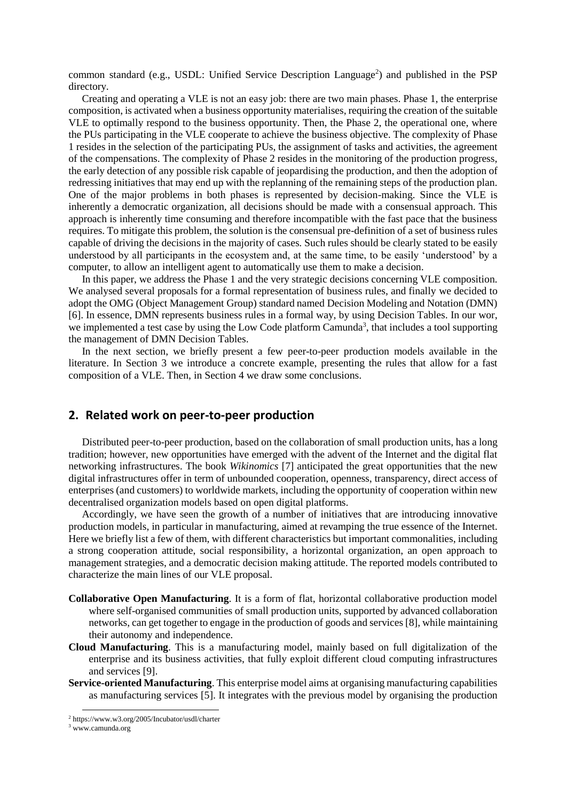common standard (e.g., USDL: Unified Service Description Language<sup>2</sup>) and published in the PSP directory.

Creating and operating a VLE is not an easy job: there are two main phases. Phase 1, the enterprise composition, is activated when a business opportunity materialises, requiring the creation of the suitable VLE to optimally respond to the business opportunity. Then, the Phase 2, the operational one, where the PUs participating in the VLE cooperate to achieve the business objective. The complexity of Phase 1 resides in the selection of the participating PUs, the assignment of tasks and activities, the agreement of the compensations. The complexity of Phase 2 resides in the monitoring of the production progress, the early detection of any possible risk capable of jeopardising the production, and then the adoption of redressing initiatives that may end up with the replanning of the remaining steps of the production plan. One of the major problems in both phases is represented by decision-making. Since the VLE is inherently a democratic organization, all decisions should be made with a consensual approach. This approach is inherently time consuming and therefore incompatible with the fast pace that the business requires. To mitigate this problem, the solution is the consensual pre-definition of a set of business rules capable of driving the decisions in the majority of cases. Such rules should be clearly stated to be easily understood by all participants in the ecosystem and, at the same time, to be easily 'understood' by a computer, to allow an intelligent agent to automatically use them to make a decision.

In this paper, we address the Phase 1 and the very strategic decisions concerning VLE composition. We analysed several proposals for a formal representation of business rules, and finally we decided to adopt the OMG (Object Management Group) standard named Decision Modeling and Notation (DMN) [6]. In essence, DMN represents business rules in a formal way, by using Decision Tables. In our wor, we implemented a test case by using the Low Code platform Camunda<sup>3</sup>, that includes a tool supporting the management of DMN Decision Tables.

In the next section, we briefly present a few peer-to-peer production models available in the literature. In Section 3 we introduce a concrete example, presenting the rules that allow for a fast composition of a VLE. Then, in Section 4 we draw some conclusions.

## **2. Related work on peer-to-peer production**

Distributed peer-to-peer production, based on the collaboration of small production units, has a long tradition; however, new opportunities have emerged with the advent of the Internet and the digital flat networking infrastructures. The book *Wikinomics* [7] anticipated the great opportunities that the new digital infrastructures offer in term of unbounded cooperation, openness, transparency, direct access of enterprises (and customers) to worldwide markets, including the opportunity of cooperation within new decentralised organization models based on open digital platforms.

Accordingly, we have seen the growth of a number of initiatives that are introducing innovative production models, in particular in manufacturing, aimed at revamping the true essence of the Internet. Here we briefly list a few of them, with different characteristics but important commonalities, including a strong cooperation attitude, social responsibility, a horizontal organization, an open approach to management strategies, and a democratic decision making attitude. The reported models contributed to characterize the main lines of our VLE proposal.

- **Collaborative Open Manufacturing**. It is a form of flat, horizontal collaborative production model where self-organised communities of small production units, supported by advanced collaboration networks, can get together to engage in the production of goods and services [8], while maintaining their autonomy and independence.
- **Cloud Manufacturing**. This is a manufacturing model, mainly based on full digitalization of the enterprise and its business activities, that fully exploit different cloud computing infrastructures and services [9].
- **Service-oriented Manufacturing**. This enterprise model aims at organising manufacturing capabilities as manufacturing services [5]. It integrates with the previous model by organising the production

<sup>2</sup> https://www.w3.org/2005/Incubator/usdl/charter

<sup>3</sup> www.camunda.org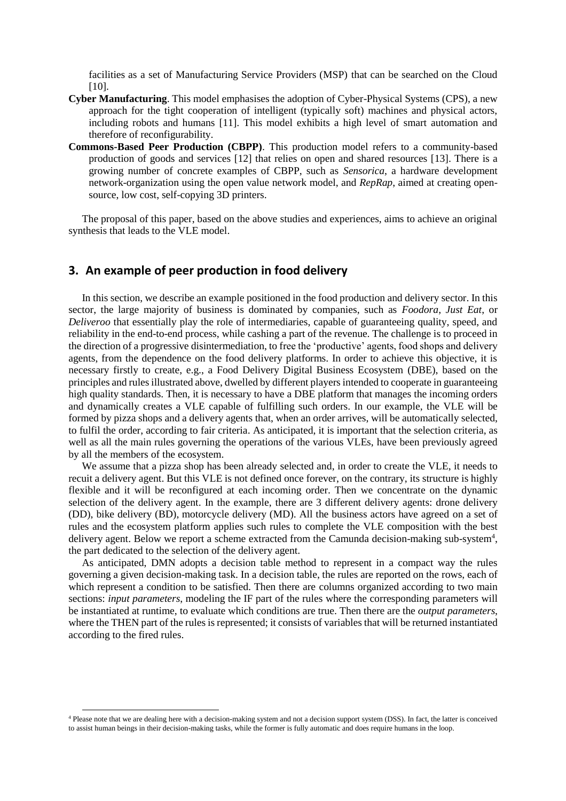facilities as a set of Manufacturing Service Providers (MSP) that can be searched on the Cloud [10].

- **Cyber Manufacturing**. This model emphasises the adoption of Cyber-Physical Systems (CPS), a new approach for the tight cooperation of intelligent (typically soft) machines and physical actors, including robots and humans [11]. This model exhibits a high level of smart automation and therefore of reconfigurability.
- **Commons-Based Peer Production (CBPP)**. This production model refers to a community-based production of goods and services [12] that relies on open and shared resources [13]. There is a growing number of concrete examples of CBPP, such as *Sensorica*, a hardware development network-organization using the open value network model, and *RepRap*, aimed at creating opensource, low cost, self-copying 3D printers.

The proposal of this paper, based on the above studies and experiences, aims to achieve an original synthesis that leads to the VLE model.

### **3. An example of peer production in food delivery**

In this section, we describe an example positioned in the food production and delivery sector. In this sector, the large majority of business is dominated by companies, such as *Foodora*, *Just Eat*, or *Deliveroo* that essentially play the role of intermediaries, capable of guaranteeing quality, speed, and reliability in the end-to-end process, while cashing a part of the revenue. The challenge is to proceed in the direction of a progressive disintermediation, to free the 'productive' agents, food shops and delivery agents, from the dependence on the food delivery platforms. In order to achieve this objective, it is necessary firstly to create, e.g., a Food Delivery Digital Business Ecosystem (DBE), based on the principles and rules illustrated above, dwelled by different players intended to cooperate in guaranteeing high quality standards. Then, it is necessary to have a DBE platform that manages the incoming orders and dynamically creates a VLE capable of fulfilling such orders. In our example, the VLE will be formed by pizza shops and a delivery agents that, when an order arrives, will be automatically selected, to fulfil the order, according to fair criteria. As anticipated, it is important that the selection criteria, as well as all the main rules governing the operations of the various VLEs, have been previously agreed by all the members of the ecosystem.

We assume that a pizza shop has been already selected and, in order to create the VLE, it needs to recuit a delivery agent. But this VLE is not defined once forever, on the contrary, its structure is highly flexible and it will be reconfigured at each incoming order. Then we concentrate on the dynamic selection of the delivery agent. In the example, there are 3 different delivery agents: drone delivery (DD), bike delivery (BD), motorcycle delivery (MD). All the business actors have agreed on a set of rules and the ecosystem platform applies such rules to complete the VLE composition with the best delivery agent. Below we report a scheme extracted from the Camunda decision-making sub-system<sup>4</sup>, the part dedicated to the selection of the delivery agent.

As anticipated, DMN adopts a decision table method to represent in a compact way the rules governing a given decision-making task. In a decision table, the rules are reported on the rows, each of which represent a condition to be satisfied. Then there are columns organized according to two main sections: *input parameters*, modeling the IF part of the rules where the corresponding parameters will be instantiated at runtime, to evaluate which conditions are true. Then there are the *output parameters*, where the THEN part of the rules is represented; it consists of variables that will be returned instantiated according to the fired rules.

<sup>4</sup> Please note that we are dealing here with a decision-making system and not a decision support system (DSS). In fact, the latter is conceived to assist human beings in their decision-making tasks, while the former is fully automatic and does require humans in the loop.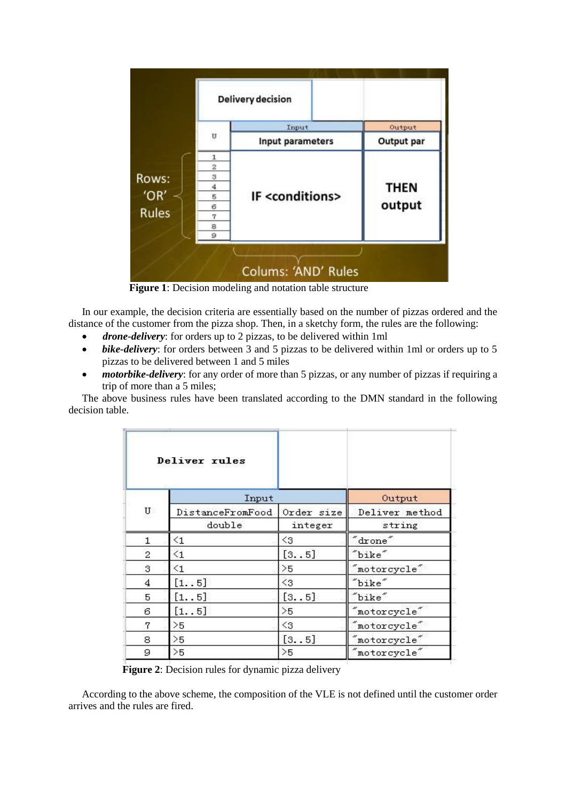

**Figure 1**: Decision modeling and notation table structure

In our example, the decision criteria are essentially based on the number of pizzas ordered and the distance of the customer from the pizza shop. Then, in a sketchy form, the rules are the following:

- *drone-delivery*: for orders up to 2 pizzas, to be delivered within 1ml
- *bike-delivery*: for orders between 3 and 5 pizzas to be delivered within 1ml or orders up to 5 pizzas to be delivered between 1 and 5 miles
- *motorbike-delivery*: for any order of more than 5 pizzas, or any number of pizzas if requiring a trip of more than a 5 miles;

The above business rules have been translated according to the DMN standard in the following decision table.

|    | Deliver rules    |                   |                           |
|----|------------------|-------------------|---------------------------|
| U  | Input            |                   | Output                    |
|    | DistanceFromFood | Order size        | Deliver method            |
|    | double           | integer           | string                    |
| 1. | $\leq 1$         | $\triangleleft$ 3 | $\degree$ drone $\degree$ |
| 2  | $\leq$ 1         | [35]              | "bike"                    |
| 3  | $\leq 1$         | >5                | motorcycle"               |
| 4  | [1.5]            | $\triangleleft$ 3 | "bike"                    |
| 5  | [15]             | [3. . 5]          | "bike"                    |
| 6  | [1.5]            | >5                | "motorcycle"              |
| 7  | >5               | $\triangleleft$ 3 | "motorcycle"              |
| 8  | >5               | [35]              | "motorcycle"              |
| 9  | >5               | >5                | "motorcycle"              |

**Figure 2**: Decision rules for dynamic pizza delivery

According to the above scheme, the composition of the VLE is not defined until the customer order arrives and the rules are fired.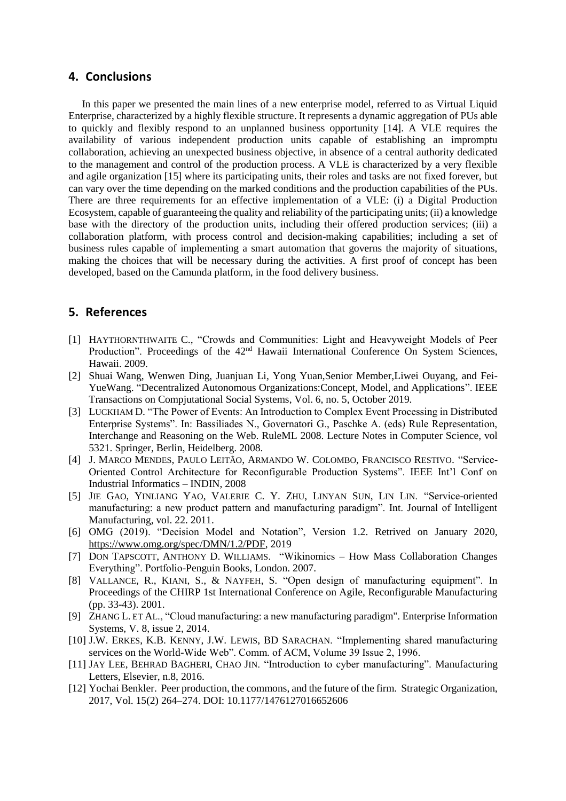#### **4. Conclusions**

In this paper we presented the main lines of a new enterprise model, referred to as Virtual Liquid Enterprise, characterized by a highly flexible structure. It represents a dynamic aggregation of PUs able to quickly and flexibly respond to an unplanned business opportunity [14]. A VLE requires the availability of various independent production units capable of establishing an impromptu collaboration, achieving an unexpected business objective, in absence of a central authority dedicated to the management and control of the production process. A VLE is characterized by a very flexible and agile organization [15] where its participating units, their roles and tasks are not fixed forever, but can vary over the time depending on the marked conditions and the production capabilities of the PUs. There are three requirements for an effective implementation of a VLE: (i) a Digital Production Ecosystem, capable of guaranteeing the quality and reliability of the participating units; (ii) a knowledge base with the directory of the production units, including their offered production services; (iii) a collaboration platform, with process control and decision-making capabilities; including a set of business rules capable of implementing a smart automation that governs the majority of situations, making the choices that will be necessary during the activities. A first proof of concept has been developed, based on the Camunda platform, in the food delivery business.

## **5. References**

- [1] HAYTHORNTHWAITE C., "Crowds and Communities: Light and Heavyweight Models of Peer Production". Proceedings of the 42<sup>nd</sup> Hawaii International Conference On System Sciences, Hawaii. 2009.
- [2] Shuai Wang, Wenwen Ding, Juanjuan Li, Yong Yuan,Senior Member,Liwei Ouyang, and Fei-YueWang. "Decentralized Autonomous Organizations:Concept, Model, and Applications". IEEE Transactions on Compjutational Social Systems, Vol. 6, no. 5, October 2019.
- [3] LUCKHAM D. "The Power of Events: An Introduction to Complex Event Processing in Distributed Enterprise Systems". In: Bassiliades N., Governatori G., Paschke A. (eds) Rule Representation, Interchange and Reasoning on the Web. RuleML 2008. Lecture Notes in Computer Science, vol 5321. Springer, Berlin, Heidelberg. 2008.
- [4] J. MARCO MENDES, PAULO LEITÃO, ARMANDO W. COLOMBO, FRANCISCO RESTIVO. "Service-Oriented Control Architecture for Reconfigurable Production Systems". IEEE Int'l Conf on Industrial Informatics – INDIN, 2008
- [5] JIE GAO, YINLIANG YAO, VALERIE C. Y. ZHU, LINYAN SUN, LIN LIN. "Service-oriented manufacturing: a new product pattern and manufacturing paradigm". Int. Journal of Intelligent Manufacturing, vol. 22. 2011.
- [6] OMG (2019). "Decision Model and Notation", Version 1.2. Retrived on January 2020, [https://www.omg.org/spec/DMN/1.2/PDF,](https://www.omg.org/spec/DMN/1.2/PDF) 2019
- [7] DON TAPSCOTT, ANTHONY D. WILLIAMS. "Wikinomics How Mass Collaboration Changes Everything". Portfolio-Penguin Books, London. 2007.
- [8] VALLANCE, R., KIANI, S., & NAYFEH, S. "Open design of manufacturing equipment". In Proceedings of the CHIRP 1st International Conference on Agile, Reconfigurable Manufacturing (pp. 33-43). 2001.
- [9] ZHANG L. ET AL., "Cloud manufacturing: a new manufacturing paradigm". Enterprise Information Systems, V. 8, issue 2, 2014.
- [10] J.W. ERKES, K.B. KENNY, J.W. LEWIS, BD SARACHAN. "Implementing shared manufacturing services on the World-Wide Web". Comm. of ACM, Volume 39 Issue 2, 1996.
- [11] JAY LEE, BEHRAD BAGHERI, CHAO JIN. "Introduction to cyber manufacturing". Manufacturing Letters, Elsevier, n.8, 2016.
- [12] Yochai Benkler. Peer production, the commons, and the future of the firm. Strategic Organization, 2017, Vol. 15(2) 264–274. DOI: 10.1177/1476127016652606